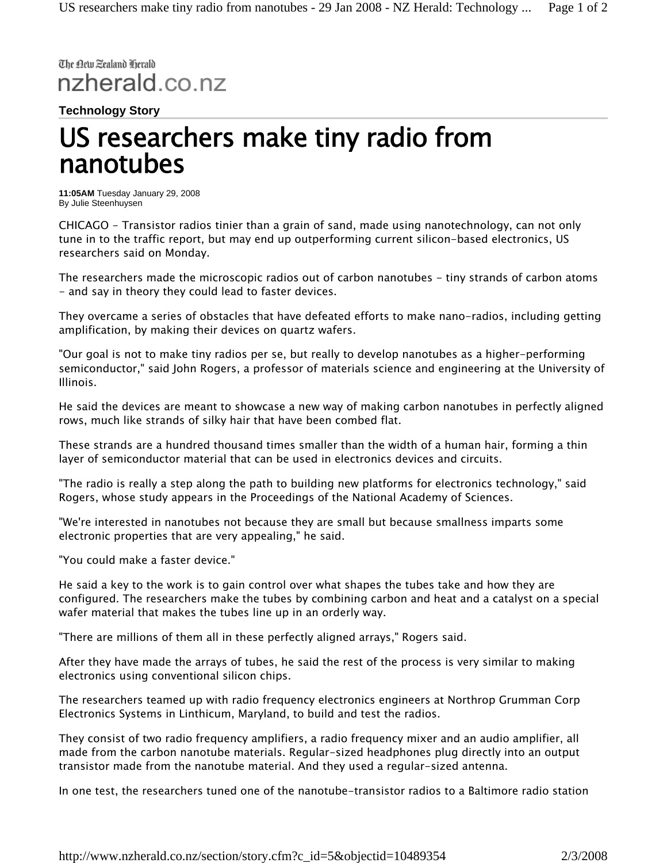## The Dew Zealand Derald nzherald.co.nz

**Technology Story** 

## US researchers make tiny radio from nanotubes

**11:05AM** Tuesday January 29, 2008 By Julie Steenhuysen

CHICAGO - Transistor radios tinier than a grain of sand, made using nanotechnology, can not only tune in to the traffic report, but may end up outperforming current silicon-based electronics, US researchers said on Monday.

The researchers made the microscopic radios out of carbon nanotubes - tiny strands of carbon atoms - and say in theory they could lead to faster devices.

They overcame a series of obstacles that have defeated efforts to make nano-radios, including getting amplification, by making their devices on quartz wafers.

"Our goal is not to make tiny radios per se, but really to develop nanotubes as a higher-performing semiconductor," said John Rogers, a professor of materials science and engineering at the University of Illinois.

He said the devices are meant to showcase a new way of making carbon nanotubes in perfectly aligned rows, much like strands of silky hair that have been combed flat.

These strands are a hundred thousand times smaller than the width of a human hair, forming a thin layer of semiconductor material that can be used in electronics devices and circuits.

"The radio is really a step along the path to building new platforms for electronics technology," said Rogers, whose study appears in the Proceedings of the National Academy of Sciences.

"We're interested in nanotubes not because they are small but because smallness imparts some electronic properties that are very appealing," he said.

"You could make a faster device."

He said a key to the work is to gain control over what shapes the tubes take and how they are configured. The researchers make the tubes by combining carbon and heat and a catalyst on a special wafer material that makes the tubes line up in an orderly way.

"There are millions of them all in these perfectly aligned arrays," Rogers said.

After they have made the arrays of tubes, he said the rest of the process is very similar to making electronics using conventional silicon chips.

The researchers teamed up with radio frequency electronics engineers at Northrop Grumman Corp Electronics Systems in Linthicum, Maryland, to build and test the radios.

They consist of two radio frequency amplifiers, a radio frequency mixer and an audio amplifier, all made from the carbon nanotube materials. Regular-sized headphones plug directly into an output transistor made from the nanotube material. And they used a regular-sized antenna.

In one test, the researchers tuned one of the nanotube-transistor radios to a Baltimore radio station